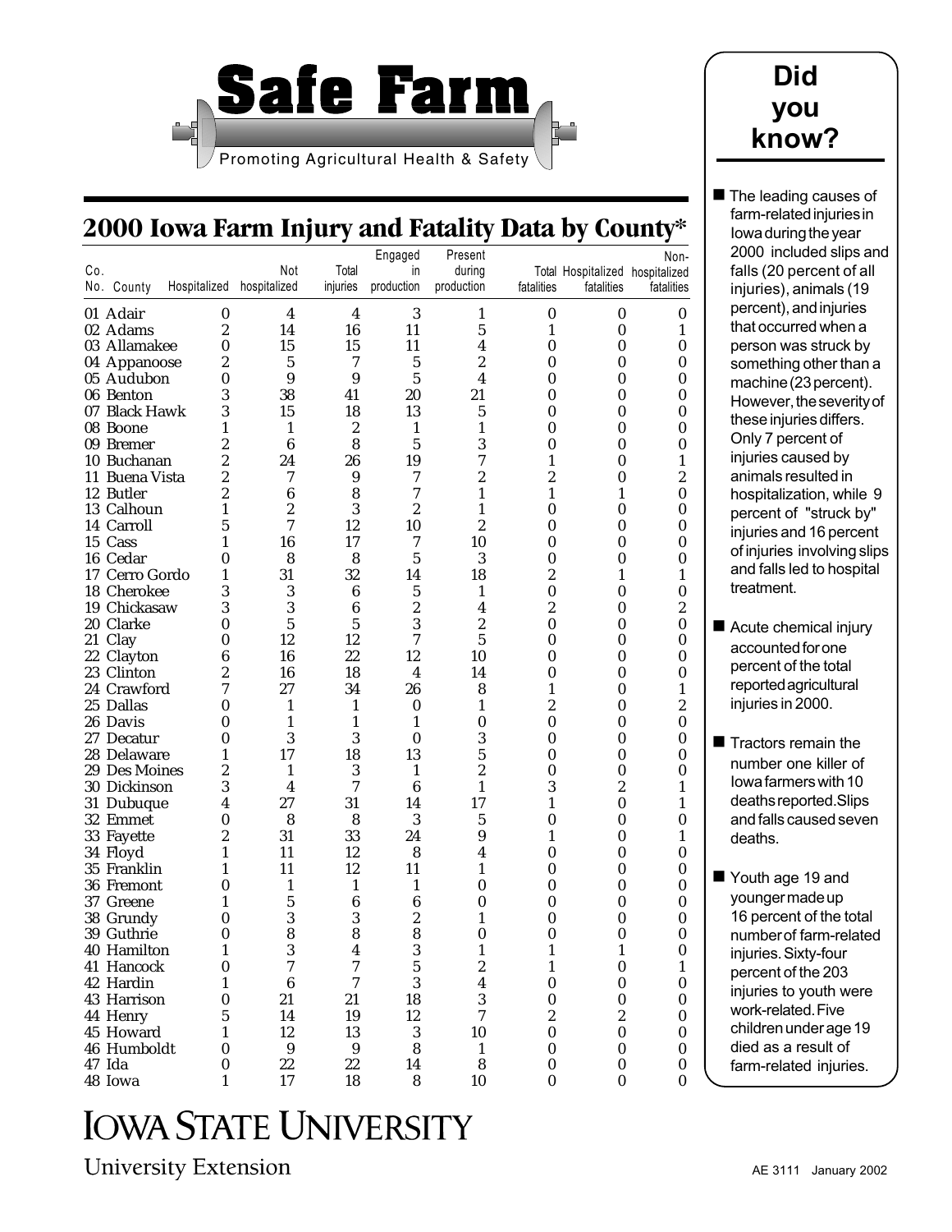

## **Did you know?**

 $\blacksquare$  The leading causes of farm-related injuries in Iowa during the year

# **2000 Iowa Farm Injury and Fatality Data by County\***

|     |                |                  |                  |                | Engaged          | Present          |                  |                                 | Non-             | 2000 included slips and     |
|-----|----------------|------------------|------------------|----------------|------------------|------------------|------------------|---------------------------------|------------------|-----------------------------|
| Co. |                |                  | Not              | Total          | in               | during           |                  | Total Hospitalized hospitalized |                  | falls (20 percent of all    |
|     | No. County     | Hospitalized     | hospitalized     | injuries       | production       | production       | fatalities       | fatalities                      | fatalities       | injuries), animals (19      |
|     |                |                  |                  |                |                  |                  |                  |                                 |                  |                             |
|     | 01 Adair       | 0                | 4                | 4              | 3                | 1                | 0                | 0                               | 0                | percent), and injuries      |
|     | 02 Adams       | $\boldsymbol{2}$ | 14               | 16             | 11               | 5                | 1                | 0                               | $\mathbf{1}$     | that occurred when a        |
|     | 03 Allamakee   | 0                | 15               | 15             | 11               | 4                | 0                | $\bf{0}$                        | 0                | person was struck by        |
|     | 04 Appanoose   | 2                | $\sqrt{5}$       | 7              | 5                | 2                | 0                | 0                               | $\boldsymbol{0}$ | something other than a      |
|     | 05 Audubon     | $\bf{0}$         | 9                | 9              | 5                | 4                | 0                | 0                               | 0                | machine (23 percent).       |
|     | 06 Benton      | 3                | 38               | 41             | 20               | 21               | 0                | 0                               | $\boldsymbol{0}$ | However, the severity of    |
|     | 07 Black Hawk  | 3                | 15               | 18             | 13               | 5                | $\bf{0}$         | $\bf{0}$                        | $\boldsymbol{0}$ | these injuries differs.     |
|     | 08 Boone       | 1                | 1                | 2              | 1                | 1                | 0                | 0                               | $\boldsymbol{0}$ |                             |
|     | 09 Bremer      | 2                | 6                | 8              | 5                | 3                | 0                | 0                               | 0                | Only 7 percent of           |
|     | 10 Buchanan    | $\overline{c}$   | 24               | 26             | 19               | 7                |                  | $\bf{0}$                        | $\mathbf{1}$     | injuries caused by          |
|     | 11 Buena Vista | $\boldsymbol{2}$ | 7                | 9              | 7                | 2                | 2                | 0                               | $\boldsymbol{2}$ | animals resulted in         |
|     | 12 Butler      | 2                | 6                | 8              | 7                | 1                | 1                | 1                               | 0                | hospitalization, while 9    |
|     | 13 Calhoun     | 1                | $\boldsymbol{2}$ | 3              | $\boldsymbol{2}$ | 1                | 0                | 0                               | 0                | percent of "struck by"      |
|     | 14 Carroll     | 5                | 7                | 12             | 10               | 2                | 0                | 0                               | $\boldsymbol{0}$ | injuries and 16 percent     |
|     | 15 Cass        | 1                | 16               | 17             | 7                | 10               | $\theta$         | $\bf{0}$                        | 0                | of injuries involving slips |
|     | 16 Cedar       | 0                | 8                | 8              | 5                | 3                | 0                | 0                               | $\boldsymbol{0}$ |                             |
|     | 17 Cerro Gordo | $\mathbf{1}$     | 31               | 32             | 14               | 18               | 2                | 1                               | $\mathbf{1}$     | and falls led to hospital   |
|     | 18 Cherokee    | 3                | 3                | 6              | 5                | 1                | $\bf{0}$         | 0                               | 0                | treatment.                  |
|     | 19 Chickasaw   | 3                | 3                | 6              | 2                | 4                | 2                | $\bf{0}$                        | $\boldsymbol{2}$ |                             |
|     | 20 Clarke      | 0                | $\overline{5}$   | $\overline{5}$ | 3                | $\overline{c}$   | $\bf{0}$         | 0                               | $\boldsymbol{0}$ | Acute chemical injury       |
|     | 21 Clay        | $\bf{0}$         | 12               | 12             | 7                | 5                | 0                | 0                               | 0                | accounted for one           |
|     | 22 Clayton     | 6                | 16               | 22             | 12               | 10               | 0                | 0                               | 0                |                             |
|     | 23 Clinton     | $\boldsymbol{2}$ | 16               | 18             | 4                | 14               | 0                | $\bf{0}$                        | 0                | percent of the total        |
|     | 24 Crawford    | 7                | 27               | 34             | 26               | 8                | 1                | 0                               | $\mathbf{1}$     | reported agricultural       |
|     | 25 Dallas      | $\bf{0}$         | 1                | 1              | 0                | 1                | 2                | 0                               | $\boldsymbol{2}$ | injuries in 2000.           |
|     | 26 Davis       | 0                | 1                | 1              |                  | 0                | 0                | $\bf{0}$                        | 0                |                             |
|     | 27 Decatur     | 0                | $\boldsymbol{3}$ | 3              | $\bf{0}$         | 3                | 0                | $\bf{0}$                        | 0                | Tractors remain the         |
|     | 28 Delaware    | 1                | 17               | 18             | 13               | 5                | 0                | 0                               | 0                | number one killer of        |
|     | 29 Des Moines  | $\boldsymbol{2}$ | 1                | 3              | 1                | 2                | 0                | $\bf{0}$                        | 0                |                             |
|     | 30 Dickinson   | 3                | 4                | 7              | 6                | 1                | 3                | $\boldsymbol{2}$                |                  | lowa farmers with 10        |
|     | 31 Dubuque     | 4                | 27               | 31             | 14               | 17               | 1                | $\bf{0}$                        | 1                | deaths reported. Slips      |
|     | 32 Emmet       | 0                | 8                | 8              | 3                | 5                | 0                | 0                               | 0                | and falls caused seven      |
|     | 33 Fayette     | $\boldsymbol{2}$ | 31               | 33             | 24               | 9                | 1                | 0                               | 1                | deaths.                     |
|     | 34 Floyd       | 1                | 11               | 12             | 8                | 4                | 0                | $\bf{0}$                        | 0                |                             |
|     | 35 Franklin    | 1                | 11               | 12             | 11               | 1                | 0                | $\bf{0}$                        | 0                |                             |
|     | 36 Fremont     | 0                | 1                | 1              | 1                | 0                | 0                | 0                               | 0                | Youth age 19 and            |
|     | 37 Greene      | 1                | 5                | 6              | 6                | 0                | 0                | 0                               | 0                | younger made up             |
|     | 38 Grundy      | 0                | 3                | 3              | 2                |                  | 0                | 0                               | 0                | 16 percent of the total     |
|     | 39 Guthrie     | 0                | 8                | 8              | 8                | 0                | 0                | 0                               | 0                | number of farm-related      |
|     | 40 Hamilton    | 1                | $\boldsymbol{3}$ | 4              | 3                | $\mathbf{1}$     | $\mathbf{1}$     | $\mathbf{1}$                    | $\pmb{0}$        | injuries. Sixty-four        |
|     | 41 Hancock     | $\bf{0}$         | 7                | 7              | 5                | $\boldsymbol{2}$ | 1                | $\boldsymbol{0}$                | $\mathbf{1}$     | percent of the 203          |
|     | 42 Hardin      |                  | 6                | 7              | 3                | 4                | 0                | 0                               | 0                | injuries to youth were      |
|     | 43 Harrison    | 0                | 21               | 21             | 18               | 3                | 0                | $\bf{0}$                        | $\boldsymbol{0}$ |                             |
|     | 44 Henry       | 5                | 14               | 19             | 12               | 7                | 2                | $\boldsymbol{2}$                | $\bf{0}$         | work-related. Five          |
|     | 45 Howard      | 1                | 12               | 13             | 3                | 10               | $\bf{0}$         | $\boldsymbol{0}$                | $\bf{0}$         | children under age 19       |
|     | 46 Humboldt    | 0                | 9                | 9              | 8                | 1                | 0                | 0                               | 0                | died as a result of         |
|     | 47 Ida         | 0                | 22               | 22             | 14               | 8                | $\boldsymbol{0}$ | 0                               | 0                | farm-related injuries.      |
|     | 48 Iowa        | 1                | 17               | 18             | 8                | 10               | $\bf{0}$         | 0                               | $\bf{0}$         |                             |

**IOWA STATE UNIVERSITY** 

**University Extension**